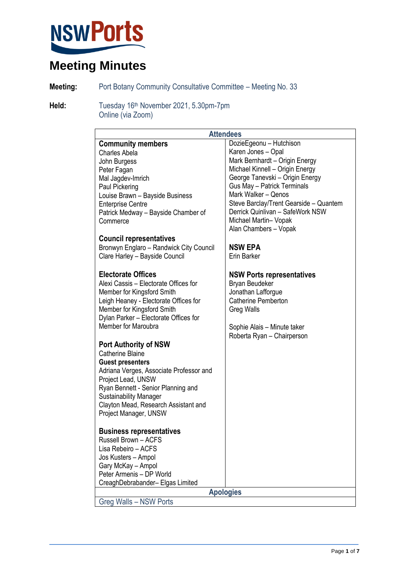

**Meeting:** Port Botany Community Consultative Committee – Meeting No. 33

Held: Tuesday 16<sup>th</sup> November 2021, 5.30pm-7pm Online (via Zoom)

| <b>Attendees</b>                        |                                        |  |
|-----------------------------------------|----------------------------------------|--|
| <b>Community members</b>                | DozieEgeonu - Hutchison                |  |
| <b>Charles Abela</b>                    | Karen Jones - Opal                     |  |
| John Burgess                            | Mark Bernhardt - Origin Energy         |  |
| Peter Fagan                             | Michael Kinnell - Origin Energy        |  |
| Mal Jagdev-Imrich                       | George Tanevski - Origin Energy        |  |
| Paul Pickering                          | Gus May - Patrick Terminals            |  |
| Louise Brawn - Bayside Business         | Mark Walker - Qenos                    |  |
| <b>Enterprise Centre</b>                | Steve Barclay/Trent Gearside - Quantem |  |
| Patrick Medway - Bayside Chamber of     | Derrick Quinlivan - SafeWork NSW       |  |
| Commerce                                | Michael Martin- Vopak                  |  |
|                                         | Alan Chambers - Vopak                  |  |
| <b>Council representatives</b>          |                                        |  |
| Bronwyn Englaro - Randwick City Council | <b>NSW EPA</b>                         |  |
| Clare Harley - Bayside Council          | Erin Barker                            |  |
|                                         |                                        |  |
| <b>Electorate Offices</b>               | <b>NSW Ports representatives</b>       |  |
| Alexi Cassis - Electorate Offices for   | Bryan Beudeker                         |  |
| Member for Kingsford Smith              | Jonathan Lafforgue                     |  |
| Leigh Heaney - Electorate Offices for   | <b>Catherine Pemberton</b>             |  |
| Member for Kingsford Smith              | <b>Greg Walls</b>                      |  |
| Dylan Parker - Electorate Offices for   |                                        |  |
| Member for Maroubra                     | Sophie Alais - Minute taker            |  |
|                                         | Roberta Ryan - Chairperson             |  |
| <b>Port Authority of NSW</b>            |                                        |  |
| <b>Catherine Blaine</b>                 |                                        |  |
| <b>Guest presenters</b>                 |                                        |  |
| Adriana Verges, Associate Professor and |                                        |  |
| Project Lead, UNSW                      |                                        |  |
| Ryan Bennett - Senior Planning and      |                                        |  |
| <b>Sustainability Manager</b>           |                                        |  |
| Clayton Mead, Research Assistant and    |                                        |  |
| Project Manager, UNSW                   |                                        |  |
|                                         |                                        |  |
| <b>Business representatives</b>         |                                        |  |
| Russell Brown - ACFS                    |                                        |  |
| Lisa Rebeiro - ACFS                     |                                        |  |
| Jos Kusters - Ampol                     |                                        |  |
| Gary McKay - Ampol                      |                                        |  |
| Peter Armenis - DP World                |                                        |  |
| CreaghDebrabander- Elgas Limited        |                                        |  |
| <b>Apologies</b>                        |                                        |  |
| Greg Walls - NSW Ports                  |                                        |  |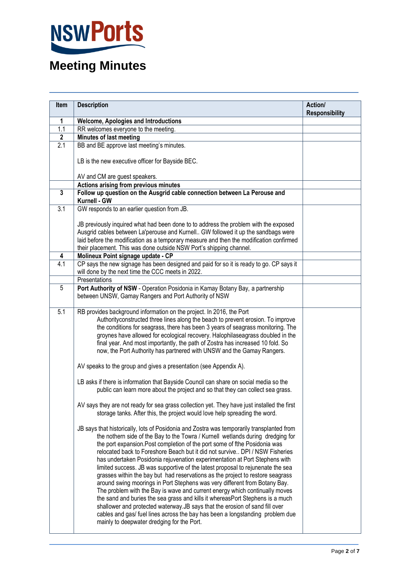

| Item             | <b>Description</b>                                                                                                                                                                                                                                                                                                                                                                                                                                                                                                                                                                                                                                                                                                                                                                                                                                                                                                                                                                                                                                          | Action/<br><b>Responsibility</b> |
|------------------|-------------------------------------------------------------------------------------------------------------------------------------------------------------------------------------------------------------------------------------------------------------------------------------------------------------------------------------------------------------------------------------------------------------------------------------------------------------------------------------------------------------------------------------------------------------------------------------------------------------------------------------------------------------------------------------------------------------------------------------------------------------------------------------------------------------------------------------------------------------------------------------------------------------------------------------------------------------------------------------------------------------------------------------------------------------|----------------------------------|
| 1                | <b>Welcome, Apologies and Introductions</b>                                                                                                                                                                                                                                                                                                                                                                                                                                                                                                                                                                                                                                                                                                                                                                                                                                                                                                                                                                                                                 |                                  |
| 1.1              | RR welcomes everyone to the meeting.                                                                                                                                                                                                                                                                                                                                                                                                                                                                                                                                                                                                                                                                                                                                                                                                                                                                                                                                                                                                                        |                                  |
| $\mathbf{2}$     | Minutes of last meeting                                                                                                                                                                                                                                                                                                                                                                                                                                                                                                                                                                                                                                                                                                                                                                                                                                                                                                                                                                                                                                     |                                  |
| 2.1              | BB and BE approve last meeting's minutes.                                                                                                                                                                                                                                                                                                                                                                                                                                                                                                                                                                                                                                                                                                                                                                                                                                                                                                                                                                                                                   |                                  |
|                  | LB is the new executive officer for Bayside BEC.                                                                                                                                                                                                                                                                                                                                                                                                                                                                                                                                                                                                                                                                                                                                                                                                                                                                                                                                                                                                            |                                  |
|                  | AV and CM are guest speakers.                                                                                                                                                                                                                                                                                                                                                                                                                                                                                                                                                                                                                                                                                                                                                                                                                                                                                                                                                                                                                               |                                  |
|                  | Actions arising from previous minutes                                                                                                                                                                                                                                                                                                                                                                                                                                                                                                                                                                                                                                                                                                                                                                                                                                                                                                                                                                                                                       |                                  |
| 3                | Follow up question on the Ausgrid cable connection between La Perouse and<br>Kurnell - GW                                                                                                                                                                                                                                                                                                                                                                                                                                                                                                                                                                                                                                                                                                                                                                                                                                                                                                                                                                   |                                  |
| 3.1              | GW responds to an earlier question from JB.                                                                                                                                                                                                                                                                                                                                                                                                                                                                                                                                                                                                                                                                                                                                                                                                                                                                                                                                                                                                                 |                                  |
|                  | JB previously inquired what had been done to to address the problem with the exposed<br>Ausgrid cables between La'perouse and Kurnell GW followed it up the sandbags were<br>laid before the modification as a temporary measure and then the modification confirmed<br>their placement. This was done outside NSW Port's shipping channel.                                                                                                                                                                                                                                                                                                                                                                                                                                                                                                                                                                                                                                                                                                                 |                                  |
| 4                | Molineux Point signage update - CP                                                                                                                                                                                                                                                                                                                                                                                                                                                                                                                                                                                                                                                                                                                                                                                                                                                                                                                                                                                                                          |                                  |
| $\overline{4.1}$ | CP says the new signage has been designed and paid for so it is ready to go. CP says it<br>will done by the next time the CCC meets in 2022.                                                                                                                                                                                                                                                                                                                                                                                                                                                                                                                                                                                                                                                                                                                                                                                                                                                                                                                |                                  |
|                  | Presentations                                                                                                                                                                                                                                                                                                                                                                                                                                                                                                                                                                                                                                                                                                                                                                                                                                                                                                                                                                                                                                               |                                  |
| 5                | Port Authority of NSW - Operation Posidonia in Kamay Botany Bay, a partnership<br>between UNSW, Gamay Rangers and Port Authority of NSW                                                                                                                                                                                                                                                                                                                                                                                                                                                                                                                                                                                                                                                                                                                                                                                                                                                                                                                     |                                  |
| 5.1              | RB provides background information on the project. In 2016, the Port<br>Authorityconstructed three lines along the beach to prevent erosion. To improve<br>the conditions for seagrass, there has been 3 years of seagrass monitoring. The<br>groynes have allowed for ecological recovery. Halophilaseagrass doubled in the<br>final year. And most importantly, the path of Zostra has increased 10 fold. So<br>now, the Port Authority has partnered with UNSW and the Gamay Rangers.                                                                                                                                                                                                                                                                                                                                                                                                                                                                                                                                                                    |                                  |
|                  | AV speaks to the group and gives a presentation (see Appendix A).                                                                                                                                                                                                                                                                                                                                                                                                                                                                                                                                                                                                                                                                                                                                                                                                                                                                                                                                                                                           |                                  |
|                  | LB asks if there is information that Bayside Council can share on social media so the<br>public can learn more about the project and so that they can collect sea grass.                                                                                                                                                                                                                                                                                                                                                                                                                                                                                                                                                                                                                                                                                                                                                                                                                                                                                    |                                  |
|                  | AV says they are not ready for sea grass collection yet. They have just installed the first<br>storage tanks. After this, the project would love help spreading the word.                                                                                                                                                                                                                                                                                                                                                                                                                                                                                                                                                                                                                                                                                                                                                                                                                                                                                   |                                  |
|                  | JB says that historically, lots of Posidonia and Zostra was temporarily transplanted from<br>the nothern side of the Bay to the Towra / Kurnell wetlands during dredging for<br>the port expansion. Post completion of the port some of fthe Posidonia was<br>relocated back to Foreshore Beach but it did not survive DPI / NSW Fisheries<br>has undertaken Posidonia rejuvenation experimentation at Port Stephens with<br>limited success. JB was supportive of the latest proposal to rejunenate the sea<br>grasses within the bay but had reservations as the project to restore seagrass<br>around swing moorings in Port Stephens was very different from Botany Bay.<br>The problem with the Bay is wave and current energy which continually moves<br>the sand and buries the sea grass and kills it whereasPort Stephens is a much<br>shallower and protected waterway. JB says that the erosion of sand fill over<br>cables and gas/ fuel lines across the bay has been a longstanding problem due<br>mainly to deepwater dredging for the Port. |                                  |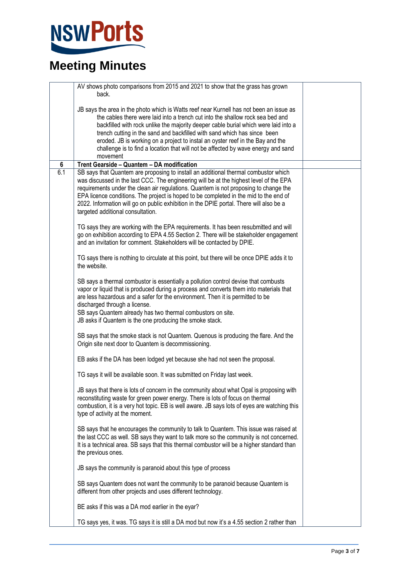

|     | AV shows photo comparisons from 2015 and 2021 to show that the grass has grown<br>back.                                                                                                                                                                                                                                                                                                                                                                                                                                         |  |
|-----|---------------------------------------------------------------------------------------------------------------------------------------------------------------------------------------------------------------------------------------------------------------------------------------------------------------------------------------------------------------------------------------------------------------------------------------------------------------------------------------------------------------------------------|--|
|     | JB says the area in the photo which is Watts reef near Kurnell has not been an issue as<br>the cables there were laid into a trench cut into the shallow rock sea bed and<br>backfilled with rock unlike the majority deeper cable burial which were laid into a<br>trench cutting in the sand and backfilled with sand which has since been<br>eroded. JB is working on a project to instal an oyster reef in the Bay and the<br>challenge is to find a location that will not be affected by wave energy and sand<br>movement |  |
| 6   | Trent Gearside - Quantem - DA modification                                                                                                                                                                                                                                                                                                                                                                                                                                                                                      |  |
| 6.1 | SB says that Quantem are proposing to install an additional thermal combustor which<br>was discussed in the last CCC. The engineering will be at the highest level of the EPA<br>requirements under the clean air regulations. Quantem is not proposing to change the<br>EPA licence conditions. The project is hoped to be completed in the mid to the end of<br>2022. Information will go on public exhibition in the DPIE portal. There will also be a<br>targeted additional consultation.                                  |  |
|     | TG says they are working with the EPA requirements. It has been resubmitted and will<br>go on exhibition according to EPA 4.55 Section 2. There will be stakeholder engagement<br>and an invitation for comment. Stakeholders will be contacted by DPIE.                                                                                                                                                                                                                                                                        |  |
|     | TG says there is nothing to circulate at this point, but there will be once DPIE adds it to<br>the website.                                                                                                                                                                                                                                                                                                                                                                                                                     |  |
|     | SB says a thermal combustor is essentially a pollution control devise that combusts<br>vapor or liquid that is produced during a process and converts them into materials that<br>are less hazardous and a safer for the environment. Then it is permitted to be<br>discharged through a license.<br>SB says Quantem already has two thermal combustors on site.                                                                                                                                                                |  |
|     | JB asks if Quantem is the one producing the smoke stack.                                                                                                                                                                                                                                                                                                                                                                                                                                                                        |  |
|     | SB says that the smoke stack is not Quantem. Quenous is producing the flare. And the<br>Origin site next door to Quantem is decommissioning.                                                                                                                                                                                                                                                                                                                                                                                    |  |
|     | EB asks if the DA has been lodged yet because she had not seen the proposal.                                                                                                                                                                                                                                                                                                                                                                                                                                                    |  |
|     | TG says it will be available soon. It was submitted on Friday last week.                                                                                                                                                                                                                                                                                                                                                                                                                                                        |  |
|     | JB says that there is lots of concern in the community about what Opal is proposing with<br>reconstituting waste for green power energy. There is lots of focus on thermal<br>combustion, it is a very hot topic. EB is well aware. JB says lots of eyes are watching this<br>type of activity at the moment.                                                                                                                                                                                                                   |  |
|     | SB says that he encourages the community to talk to Quantem. This issue was raised at<br>the last CCC as well. SB says they want to talk more so the community is not concerned.<br>It is a technical area. SB says that this thermal combustor will be a higher standard than<br>the previous ones.                                                                                                                                                                                                                            |  |
|     | JB says the community is paranoid about this type of process                                                                                                                                                                                                                                                                                                                                                                                                                                                                    |  |
|     | SB says Quantem does not want the community to be paranoid because Quantem is<br>different from other projects and uses different technology.                                                                                                                                                                                                                                                                                                                                                                                   |  |
|     | BE asks if this was a DA mod earlier in the eyar?                                                                                                                                                                                                                                                                                                                                                                                                                                                                               |  |
|     | TG says yes, it was. TG says it is still a DA mod but now it's a 4.55 section 2 rather than                                                                                                                                                                                                                                                                                                                                                                                                                                     |  |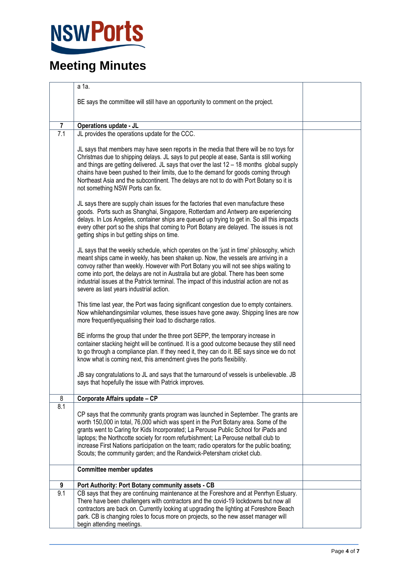

|                  | a 1a.                                                                                                                                                                                                                                                                                                                                                                                                                                                                                                                          |  |
|------------------|--------------------------------------------------------------------------------------------------------------------------------------------------------------------------------------------------------------------------------------------------------------------------------------------------------------------------------------------------------------------------------------------------------------------------------------------------------------------------------------------------------------------------------|--|
|                  | BE says the committee will still have an opportunity to comment on the project.                                                                                                                                                                                                                                                                                                                                                                                                                                                |  |
|                  |                                                                                                                                                                                                                                                                                                                                                                                                                                                                                                                                |  |
| $\overline{7}$   | <b>Operations update - JL</b>                                                                                                                                                                                                                                                                                                                                                                                                                                                                                                  |  |
| $\overline{7.1}$ | JL provides the operations update for the CCC.                                                                                                                                                                                                                                                                                                                                                                                                                                                                                 |  |
|                  | JL says that members may have seen reports in the media that there will be no toys for<br>Christmas due to shipping delays. JL says to put people at ease, Santa is still working<br>and things are getting delivered. JL says that over the last 12 - 18 months global supply<br>chains have been pushed to their limits, due to the demand for goods coming through<br>Northeast Asia and the subcontinent. The delays are not to do with Port Botany so it is<br>not something NSW Ports can fix.                           |  |
|                  | JL says there are supply chain issues for the factories that even manufacture these<br>goods. Ports such as Shanghai, Singapore, Rotterdam and Antwerp are experiencing<br>delays. In Los Angeles, container ships are queued up trying to get in. So all this impacts<br>every other port so the ships that coming to Port Botany are delayed. The issues is not<br>getting ships in but getting ships on time.                                                                                                               |  |
|                  | JL says that the weekly schedule, which operates on the 'just in time' philosophy, which<br>meant ships came in weekly, has been shaken up. Now, the vessels are arriving in a<br>convoy rather than weekly. However with Port Botany you will not see ships waiting to<br>come into port, the delays are not in Australia but are global. There has been some<br>industrial issues at the Patrick terminal. The impact of this industrial action are not as<br>severe as last years industrial action.                        |  |
|                  | This time last year, the Port was facing significant congestion due to empty containers.<br>Now whilehandingsimilar volumes, these issues have gone away. Shipping lines are now<br>more frequentlyequalising their load to discharge ratios.                                                                                                                                                                                                                                                                                  |  |
|                  | BE informs the group that under the three port SEPP, the temporary increase in<br>container stacking height will be continued. It is a good outcome because they still need<br>to go through a compliance plan. If they need it, they can do it. BE says since we do not<br>know what is coming next, this amendment gives the ports flexibility.                                                                                                                                                                              |  |
|                  | JB say congratulations to JL and says that the turnaround of vessels is unbelievable. JB<br>says that hopefully the issue with Patrick improves.                                                                                                                                                                                                                                                                                                                                                                               |  |
| 8                | Corporate Affairs update - CP                                                                                                                                                                                                                                                                                                                                                                                                                                                                                                  |  |
| 8.1              | CP says that the community grants program was launched in September. The grants are<br>worth 150,000 in total, 76,000 which was spent in the Port Botany area. Some of the<br>grants went to Caring for Kids Incorporated; La Perouse Public School for iPads and<br>laptops; the Northcotte society for room refurbishment; La Perouse netball club to<br>increase First Nations participation on the team; radio operators for the public boating;<br>Scouts; the community garden; and the Randwick-Petersham cricket club. |  |
|                  | <b>Committee member updates</b>                                                                                                                                                                                                                                                                                                                                                                                                                                                                                                |  |
| 9                | Port Authority: Port Botany community assets - CB                                                                                                                                                                                                                                                                                                                                                                                                                                                                              |  |
| 9.1              | CB says that they are continuing maintenance at the Foreshore and at Penrhyn Estuary.<br>There have been challengers with contractors and the covid-19 lockdowns but now all<br>contractors are back on. Currently looking at upgrading the lighting at Foreshore Beach<br>park. CB is changing roles to focus more on projects, so the new asset manager will<br>begin attending meetings.                                                                                                                                    |  |
|                  |                                                                                                                                                                                                                                                                                                                                                                                                                                                                                                                                |  |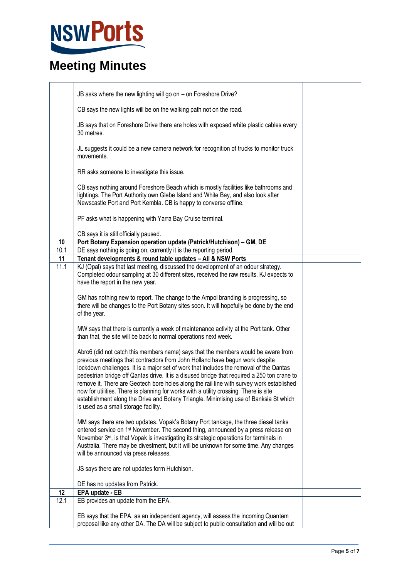# NSWPorts

|      | JB asks where the new lighting will go on - on Foreshore Drive?                                                                                                                                                                                                                                                                                                                                                                                                                                                                                                                                                                                                                  |  |
|------|----------------------------------------------------------------------------------------------------------------------------------------------------------------------------------------------------------------------------------------------------------------------------------------------------------------------------------------------------------------------------------------------------------------------------------------------------------------------------------------------------------------------------------------------------------------------------------------------------------------------------------------------------------------------------------|--|
|      | CB says the new lights will be on the walking path not on the road.                                                                                                                                                                                                                                                                                                                                                                                                                                                                                                                                                                                                              |  |
|      | JB says that on Foreshore Drive there are holes with exposed white plastic cables every<br>30 metres.                                                                                                                                                                                                                                                                                                                                                                                                                                                                                                                                                                            |  |
|      | JL suggests it could be a new camera network for recognition of trucks to monitor truck<br>movements.                                                                                                                                                                                                                                                                                                                                                                                                                                                                                                                                                                            |  |
|      | RR asks someone to investigate this issue.                                                                                                                                                                                                                                                                                                                                                                                                                                                                                                                                                                                                                                       |  |
|      | CB says nothing around Foreshore Beach which is mostly facilities like bathrooms and<br>lightings. The Port Authority own Glebe Island and White Bay, and also look after<br>Newscastle Port and Port Kembla. CB is happy to converse offline.                                                                                                                                                                                                                                                                                                                                                                                                                                   |  |
|      | PF asks what is happening with Yarra Bay Cruise terminal.                                                                                                                                                                                                                                                                                                                                                                                                                                                                                                                                                                                                                        |  |
|      | CB says it is still officially paused.                                                                                                                                                                                                                                                                                                                                                                                                                                                                                                                                                                                                                                           |  |
| 10   | Port Botany Expansion operation update (Patrick/Hutchison) - GM, DE                                                                                                                                                                                                                                                                                                                                                                                                                                                                                                                                                                                                              |  |
| 10.1 | DE says nothing is going on, currently it is the reporting period.                                                                                                                                                                                                                                                                                                                                                                                                                                                                                                                                                                                                               |  |
| 11   | Tenant developments & round table updates - All & NSW Ports                                                                                                                                                                                                                                                                                                                                                                                                                                                                                                                                                                                                                      |  |
| 11.1 | KJ (Opal) says that last meeting, discussed the development of an odour strategy.<br>Completed odour sampling at 30 different sites, received the raw results. KJ expects to<br>have the report in the new year.                                                                                                                                                                                                                                                                                                                                                                                                                                                                 |  |
|      | GM has nothing new to report. The change to the Ampol branding is progressing, so<br>there will be changes to the Port Botany sites soon. It will hopefully be done by the end<br>of the year.                                                                                                                                                                                                                                                                                                                                                                                                                                                                                   |  |
|      | MW says that there is currently a week of maintenance activity at the Port tank. Other<br>than that, the site will be back to normal operations next week.                                                                                                                                                                                                                                                                                                                                                                                                                                                                                                                       |  |
|      | Abro6 (did not catch this members name) says that the members would be aware from<br>previous meetings that contractors from John Holland have begun work despite<br>lockdown challenges. It is a major set of work that includes the removal of the Qantas<br>pedestrian bridge off Qantas drive. It is a disused bridge that required a 250 ton crane to<br>remove it. There are Geotech bore holes along the rail line with survey work established<br>now for utilities. There is planning for works with a utility crossing. There is site<br>establishment along the Drive and Botany Triangle. Minimising use of Banksia St which<br>is used as a small storage facility. |  |
|      | MM says there are two updates. Vopak's Botany Port tankage, the three diesel tanks<br>entered service on 1 <sup>st</sup> November. The second thing, announced by a press release on<br>November 3rd, is that Vopak is investigating its strategic operations for terminals in<br>Australia. There may be divestment, but it will be unknown for some time. Any changes<br>will be announced via press releases.                                                                                                                                                                                                                                                                 |  |
|      | JS says there are not updates form Hutchison.                                                                                                                                                                                                                                                                                                                                                                                                                                                                                                                                                                                                                                    |  |
|      | DE has no updates from Patrick.                                                                                                                                                                                                                                                                                                                                                                                                                                                                                                                                                                                                                                                  |  |
| 12   | EPA update - EB                                                                                                                                                                                                                                                                                                                                                                                                                                                                                                                                                                                                                                                                  |  |
| 12.1 | EB provides an update from the EPA.                                                                                                                                                                                                                                                                                                                                                                                                                                                                                                                                                                                                                                              |  |
|      | EB says that the EPA, as an independent agency, will assess the incoming Quantem<br>proposal like any other DA. The DA will be subject to public consultation and will be out                                                                                                                                                                                                                                                                                                                                                                                                                                                                                                    |  |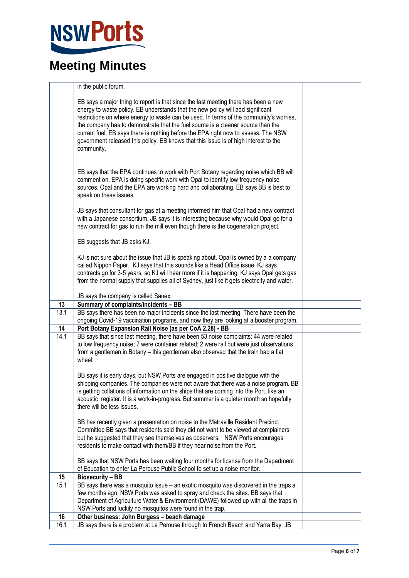

|      | in the public forum.                                                                                                                                                                                                                                                                                                                                                                                                                                                                                                                              |  |
|------|---------------------------------------------------------------------------------------------------------------------------------------------------------------------------------------------------------------------------------------------------------------------------------------------------------------------------------------------------------------------------------------------------------------------------------------------------------------------------------------------------------------------------------------------------|--|
|      | EB says a major thing to report is that since the last meeting there has been a new<br>energy to waste policy. EB understands that the new policy will add significant<br>restrictions on where energy to waste can be used. In terms of the community's worries,<br>the company has to demonstrate that the fuel source is a cleaner source than the<br>current fuel. EB says there is nothing before the EPA right now to assess. The NSW<br>government released this policy. EB knows that this issue is of high interest to the<br>community. |  |
|      | EB says that the EPA continues to work with Port Botany regarding noise which BB will<br>comment on. EPA is doing specific work with Opal to identify low frequency noise<br>sources. Opal and the EPA are working hard and collaborating. EB says BB is best to<br>speak on these issues.                                                                                                                                                                                                                                                        |  |
|      | JB says that consultant for gas at a meeting informed him that Opal had a new contract<br>with a Japanese consortium. JB says it is interesting because why would Opal go for a<br>new contract for gas to run the mill even though there is the cogeneration project.                                                                                                                                                                                                                                                                            |  |
|      | EB suggests that JB asks KJ.                                                                                                                                                                                                                                                                                                                                                                                                                                                                                                                      |  |
|      | KJ is not sure about the issue that JB is speaking about. Opal is owned by a a company<br>called Nippon Paper. KJ says that this sounds like a Head Office issue. KJ says<br>contracts go for 3-5 years, so KJ will hear more if it is happening. KJ says Opal gets gas<br>from the normal supply that supplies all of Sydney, just like it gets electricity and water.                                                                                                                                                                           |  |
|      | JB says the company is called Sanex.                                                                                                                                                                                                                                                                                                                                                                                                                                                                                                              |  |
| 13   | Summary of complaints/incidents - BB                                                                                                                                                                                                                                                                                                                                                                                                                                                                                                              |  |
| 13.1 | BB says there has been no major incidents since the last meeting. There have been the<br>ongoing Covid-19 vaccination programs, and now they are looking at a booster program.                                                                                                                                                                                                                                                                                                                                                                    |  |
| 14   | Port Botany Expansion Rail Noise (as per CoA 2.28) - BB                                                                                                                                                                                                                                                                                                                                                                                                                                                                                           |  |
| 14.1 | BB says that since last meeting, there have been 53 noise complaints: 44 were related<br>to low frequency noise; 7 were container related; 2 were rail but were just observations<br>from a gentleman in Botany - this gentleman also observed that the train had a flat<br>wheel.                                                                                                                                                                                                                                                                |  |
|      | BB says it is early days, but NSW Ports are engaged in positive dialogue with the<br>shipping companies. The companies were not aware that there was a noise program. BB<br>is getting collations of information on the ships that are coming into the Port, like an<br>acoustic register. It is a work-in-progress. But summer is a quieter month so hopefully<br>there will be less issues.                                                                                                                                                     |  |
|      | BB has recently given a presentation on noise to the Matraville Resident Precinct<br>Committee BB says that residents said they did not want to be viewed at complainers<br>but he suggested that they see themselves as observers. NSW Ports encourages<br>residents to make contact with them/BB if they hear noise from the Port.                                                                                                                                                                                                              |  |
|      | BB says that NSW Ports has been waiting four months for license from the Department<br>of Education to enter La Perouse Public School to set up a noise monitor.                                                                                                                                                                                                                                                                                                                                                                                  |  |
| 15   | <b>Biosecurity - BB</b>                                                                                                                                                                                                                                                                                                                                                                                                                                                                                                                           |  |
| 15.1 | BB says there was a mosquito issue - an exotic mosquito was discovered in the traps a                                                                                                                                                                                                                                                                                                                                                                                                                                                             |  |
|      | few months ago. NSW Ports was asked to spray and check the sites. BB says that                                                                                                                                                                                                                                                                                                                                                                                                                                                                    |  |
|      | Department of Agriculture Water & Environment (DAWE) followed up with all the traps in                                                                                                                                                                                                                                                                                                                                                                                                                                                            |  |
| 16   | NSW Ports and luckily no mosquitos were found in the trap.<br>Other business: John Burgess - beach damage                                                                                                                                                                                                                                                                                                                                                                                                                                         |  |
| 16.1 | JB says there is a problem at La Perouse through to French Beach and Yarra Bay. JB                                                                                                                                                                                                                                                                                                                                                                                                                                                                |  |
|      |                                                                                                                                                                                                                                                                                                                                                                                                                                                                                                                                                   |  |